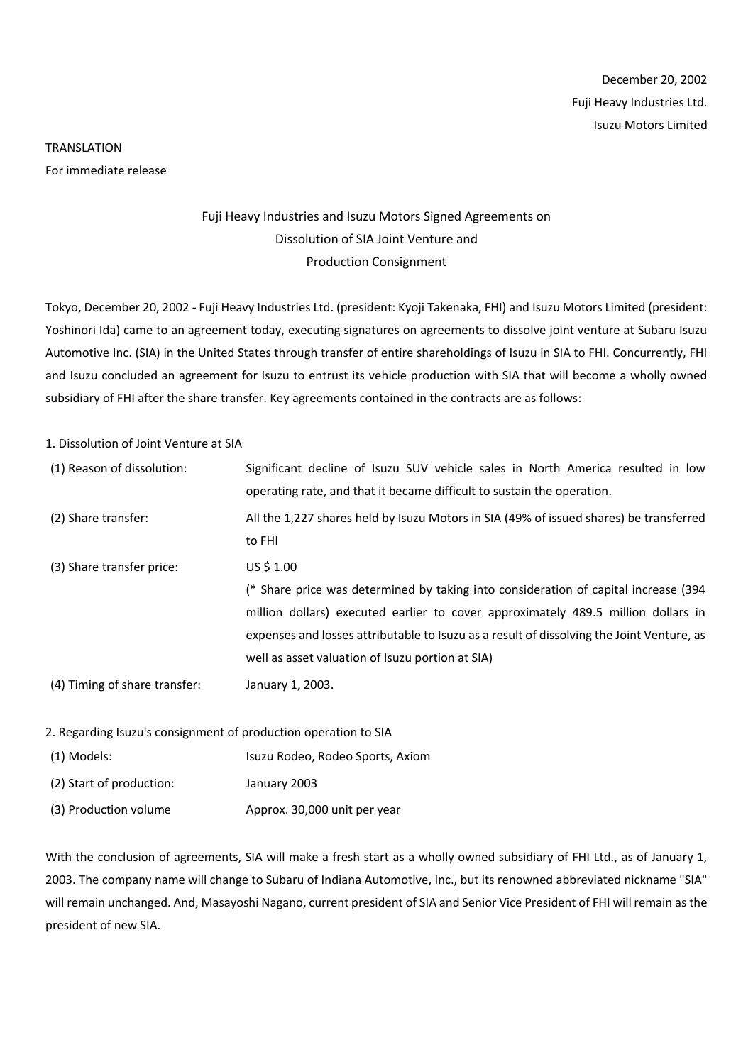## TRANSLATION For immediate release

## Fuji Heavy Industries and Isuzu Motors Signed Agreements on Dissolution of SIA Joint Venture and Production Consignment

Tokyo, December 20, 2002 - Fuji Heavy Industries Ltd. (president: Kyoji Takenaka, FHI) and Isuzu Motors Limited (president: Yoshinori Ida) came to an agreement today, executing signatures on agreements to dissolve joint venture at Subaru Isuzu Automotive Inc. (SIA) in the United States through transfer of entire shareholdings of Isuzu in SIA to FHI. Concurrently, FHI and Isuzu concluded an agreement for Isuzu to entrust its vehicle production with SIA that will become a wholly owned subsidiary of FHI after the share transfer. Key agreements contained in the contracts are as follows:

1. Dissolution of Joint Venture at SIA

| (1) Reason of dissolution:    | Significant decline of Isuzu SUV vehicle sales in North America resulted in low<br>operating rate, and that it became difficult to sustain the operation.                                                                                                                                                                                |
|-------------------------------|------------------------------------------------------------------------------------------------------------------------------------------------------------------------------------------------------------------------------------------------------------------------------------------------------------------------------------------|
| (2) Share transfer:           | All the 1,227 shares held by Isuzu Motors in SIA (49% of issued shares) be transferred<br>to FHI                                                                                                                                                                                                                                         |
| (3) Share transfer price:     | US \$ 1.00<br>(* Share price was determined by taking into consideration of capital increase (394)<br>million dollars) executed earlier to cover approximately 489.5 million dollars in<br>expenses and losses attributable to Isuzu as a result of dissolving the Joint Venture, as<br>well as asset valuation of Isuzu portion at SIA) |
| (4) Timing of share transfer: | January 1, 2003.                                                                                                                                                                                                                                                                                                                         |

2. Regarding Isuzu's consignment of production operation to SIA

| (1) Models:              | Isuzu Rodeo, Rodeo Sports, Axiom |
|--------------------------|----------------------------------|
| (2) Start of production: | January 2003                     |
| (3) Production volume    | Approx. 30,000 unit per year     |

With the conclusion of agreements, SIA will make a fresh start as a wholly owned subsidiary of FHI Ltd., as of January 1, 2003. The company name will change to Subaru of Indiana Automotive, Inc., but its renowned abbreviated nickname "SIA" will remain unchanged. And, Masayoshi Nagano, current president of SIA and Senior Vice President of FHI will remain as the president of new SIA.